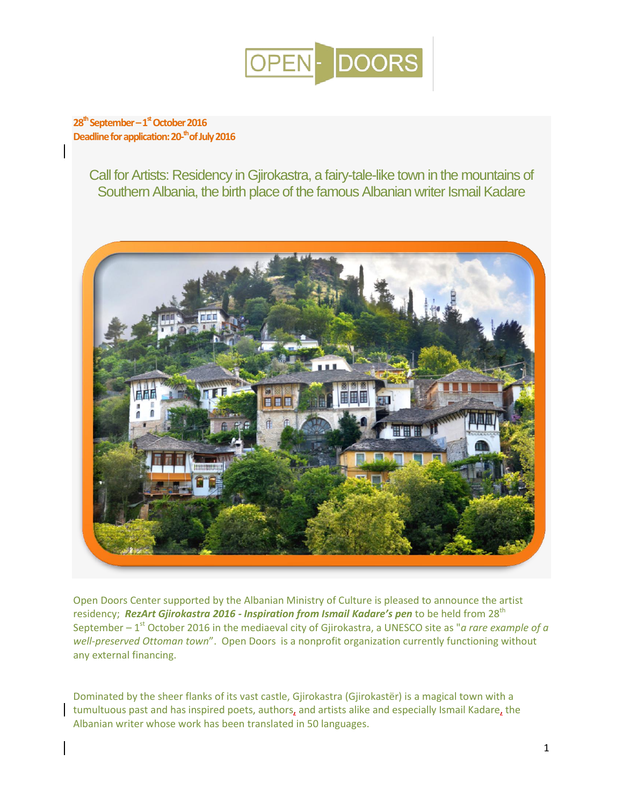

# **28th September –1 stOctober 2016 Deadline for application: 20- th of July 2016**

Call for Artists: Residency in Gjirokastra, a fairy-tale-like town in the mountains of Southern Albania, the birth place of the famous Albanian writer Ismail Kadare



Open Doors Center supported by the Albanian Ministry of Culture is pleased to announce the artist residency; *RezArt Gjirokastra 2016 - Inspiration from Ismail Kadare's pen* to be held from 28<sup>th</sup> September – 1<sup>st</sup> October 2016 in the mediaeval city of Gjirokastra, a UNESCO site as "*a rare example of a well-preserved Ottoman town*". Open Doors is a nonprofit organization currently functioning without any external financing.

Dominated by the sheer flanks of its vast castle, Gjirokastra (Gjirokastër) is a magical town with a tumultuous past and has inspired poets, authors, and artists alike and especially Ismail Kadare, the Albanian writer whose work has been translated in 50 languages.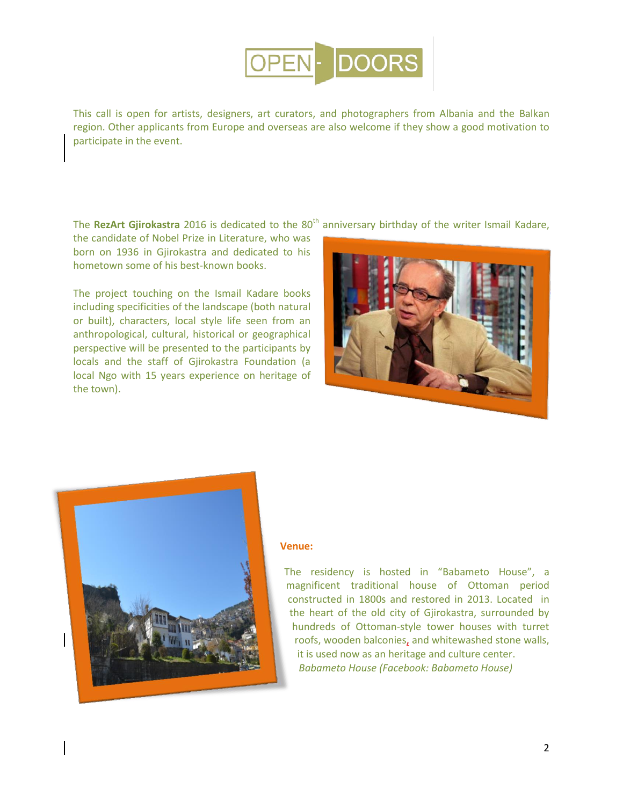

This call is open for artists, designers, art curators, and photographers from Albania and the Balkan region. Other applicants from Europe and overseas are also welcome if they show a good motivation to participate in the event.

The RezArt Gjirokastra 2016 is dedicated to the 80<sup>th</sup> anniversary birthday of the writer Ismail Kadare,

the candidate of Nobel Prize in Literature, who was born on 1936 in Gjirokastra and dedicated to his hometown some of his best-known books.

The project touching on the Ismail Kadare books including specificities of the landscape (both natural or built), characters, local style life seen from an anthropological, cultural, historical or geographical perspective will be presented to the participants by locals and the staff of Gjirokastra Foundation (a local Ngo with 15 years experience on heritage of the town).





#### **Venue:**

The residency is hosted in "Babameto House", a magnificent traditional house of Ottoman period constructed in 1800s and restored in 2013. Located in the heart of the old city of Gjirokastra, surrounded by hundreds of Ottoman-style tower houses with turret roofs, wooden balconies, and whitewashed stone walls, it is used now as an heritage and culture center. *Babameto House (Facebook: Babameto House)*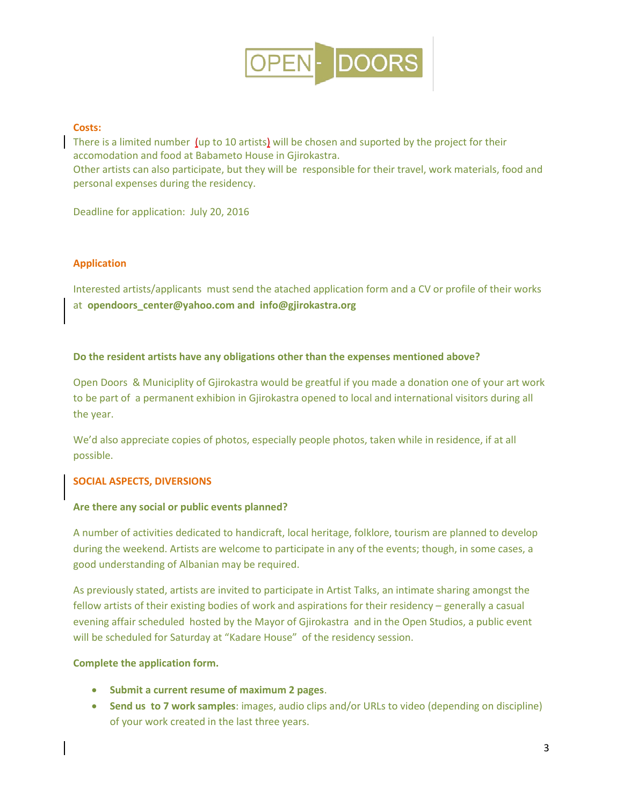

## **Costs:**

There is a limited number (up to 10 artists) will be chosen and suported by the project for their accomodation and food at Babameto House in Gjirokastra.

Other artists can also participate, but they will be responsible for their travel, work materials, food and personal expenses during the residency.

Deadline for application: July 20, 2016

## **Application**

Interested artists/applicants must send the atached application form and a CV or profile of their works at **opendoors\_center@yahoo.com and info@gjirokastra.org**

## **Do the resident artists have any obligations other than the expenses mentioned above?**

Open Doors & Municiplity of Gjirokastra would be greatful if you made a donation one of your art work to be part of a permanent exhibion in Gjirokastra opened to local and international visitors during all the year.

We'd also appreciate copies of photos, especially people photos, taken while in residence, if at all possible.

# **SOCIAL ASPECTS, DIVERSIONS**

#### **Are there any social or public events planned?**

A number of activities dedicated to handicraft, local heritage, folklore, tourism are planned to develop during the weekend. Artists are welcome to participate in any of the events; though, in some cases, a good understanding of Albanian may be required.

As previously stated, artists are invited to participate in Artist Talks, an intimate sharing amongst the fellow artists of their existing bodies of work and aspirations for their residency – generally a casual evening affair scheduled hosted by the Mayor of Gjirokastra and in the Open Studios, a public event will be scheduled for Saturday at "Kadare House" of the residency session.

#### **Complete the application form.**

- **Submit a current resume of maximum 2 pages**.
- **Send us to 7 work samples**: images, audio clips and/or URLs to video (depending on discipline) of your work created in the last three years.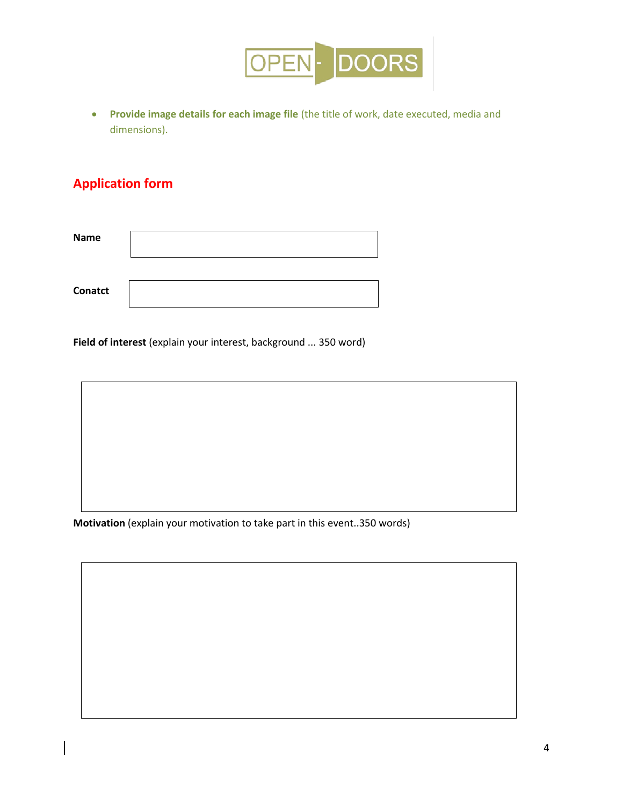

 **Provide image details for each image file** (the title of work, date executed, media and dimensions).

# **Application form**

| <b>Name</b>    |  |
|----------------|--|
|                |  |
| <b>Conatct</b> |  |

**Field of interest** (explain your interest, background ... 350 word)

**Motivation** (explain your motivation to take part in this event..350 words)